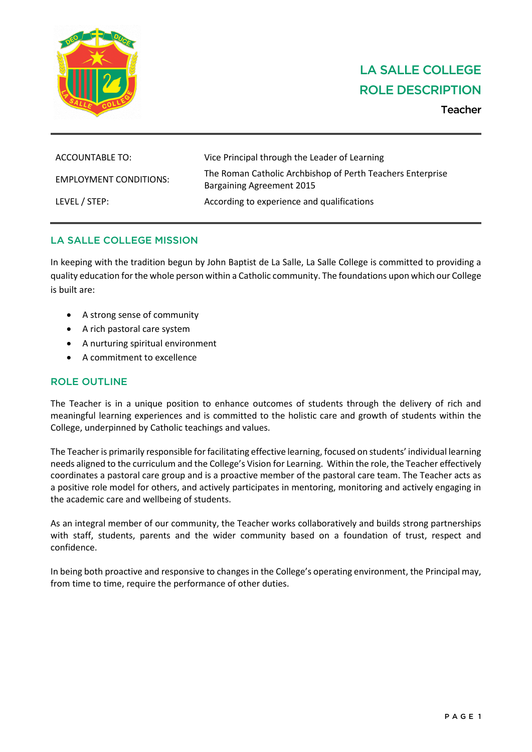

# LA SALLE COLLEGE ROLE DESCRIPTION

Teacher

| ACCOUNTABLE TO:               | Vice Principal through the Leader of Learning                                                  |
|-------------------------------|------------------------------------------------------------------------------------------------|
| <b>EMPLOYMENT CONDITIONS:</b> | The Roman Catholic Archbishop of Perth Teachers Enterprise<br><b>Bargaining Agreement 2015</b> |
| LEVEL / STEP:                 | According to experience and qualifications                                                     |

# LA SALLE COLLEGE MISSION

In keeping with the tradition begun by John Baptist de La Salle, La Salle College is committed to providing a quality education for the whole person within a Catholic community. The foundations upon which our College is built are:

- A strong sense of community
- A rich pastoral care system
- A nurturing spiritual environment
- A commitment to excellence

# ROLE OUTLINE

The Teacher is in a unique position to enhance outcomes of students through the delivery of rich and meaningful learning experiences and is committed to the holistic care and growth of students within the College, underpinned by Catholic teachings and values.

The Teacheris primarily responsible forfacilitating effective learning, focused on students' individual learning needs aligned to the curriculum and the College's Vision for Learning. Within the role, the Teacher effectively coordinates a pastoral care group and is a proactive member of the pastoral care team. The Teacher acts as a positive role model for others, and actively participates in mentoring, monitoring and actively engaging in the academic care and wellbeing of students.

As an integral member of our community, the Teacher works collaboratively and builds strong partnerships with staff, students, parents and the wider community based on a foundation of trust, respect and confidence.

In being both proactive and responsive to changes in the College's operating environment, the Principal may, from time to time, require the performance of other duties.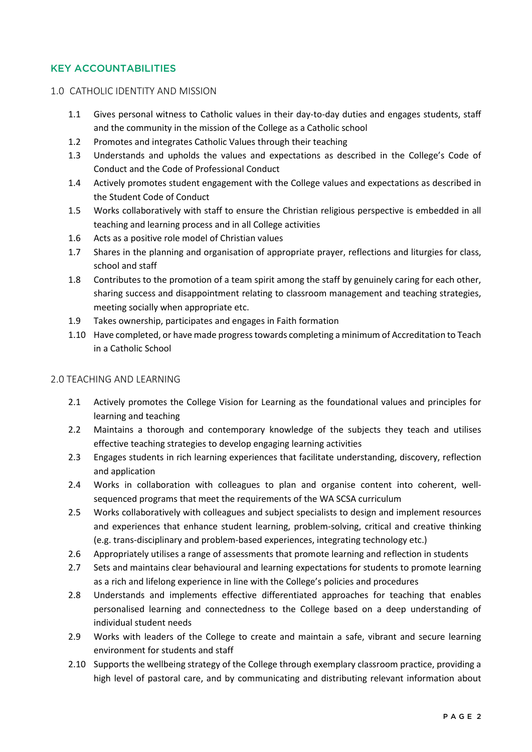# KEY ACCOUNTABILITIES

### 1.0 CATHOLIC IDENTITY AND MISSION

- 1.1 Gives personal witness to Catholic values in their day-to-day duties and engages students, staff and the community in the mission of the College as a Catholic school
- 1.2 Promotes and integrates Catholic Values through their teaching
- 1.3 Understands and upholds the values and expectations as described in the College's Code of Conduct and the Code of Professional Conduct
- 1.4 Actively promotes student engagement with the College values and expectations as described in the Student Code of Conduct
- 1.5 Works collaboratively with staff to ensure the Christian religious perspective is embedded in all teaching and learning process and in all College activities
- 1.6 Acts as a positive role model of Christian values
- 1.7 Shares in the planning and organisation of appropriate prayer, reflections and liturgies for class, school and staff
- 1.8 Contributes to the promotion of a team spirit among the staff by genuinely caring for each other, sharing success and disappointment relating to classroom management and teaching strategies, meeting socially when appropriate etc.
- 1.9 Takes ownership, participates and engages in Faith formation
- 1.10 Have completed, or have made progress towards completing a minimum of Accreditation to Teach in a Catholic School

## 2.0 TEACHING AND LEARNING

- 2.1 Actively promotes the College Vision for Learning as the foundational values and principles for learning and teaching
- 2.2 Maintains a thorough and contemporary knowledge of the subjects they teach and utilises effective teaching strategies to develop engaging learning activities
- 2.3 Engages students in rich learning experiences that facilitate understanding, discovery, reflection and application
- 2.4 Works in collaboration with colleagues to plan and organise content into coherent, wellsequenced programs that meet the requirements of the WA SCSA curriculum
- 2.5 Works collaboratively with colleagues and subject specialists to design and implement resources and experiences that enhance student learning, problem-solving, critical and creative thinking (e.g. trans-disciplinary and problem-based experiences, integrating technology etc.)
- 2.6 Appropriately utilises a range of assessments that promote learning and reflection in students
- 2.7 Sets and maintains clear behavioural and learning expectations for students to promote learning as a rich and lifelong experience in line with the College's policies and procedures
- 2.8 Understands and implements effective differentiated approaches for teaching that enables personalised learning and connectedness to the College based on a deep understanding of individual student needs
- 2.9 Works with leaders of the College to create and maintain a safe, vibrant and secure learning environment for students and staff
- 2.10 Supports the wellbeing strategy of the College through exemplary classroom practice, providing a high level of pastoral care, and by communicating and distributing relevant information about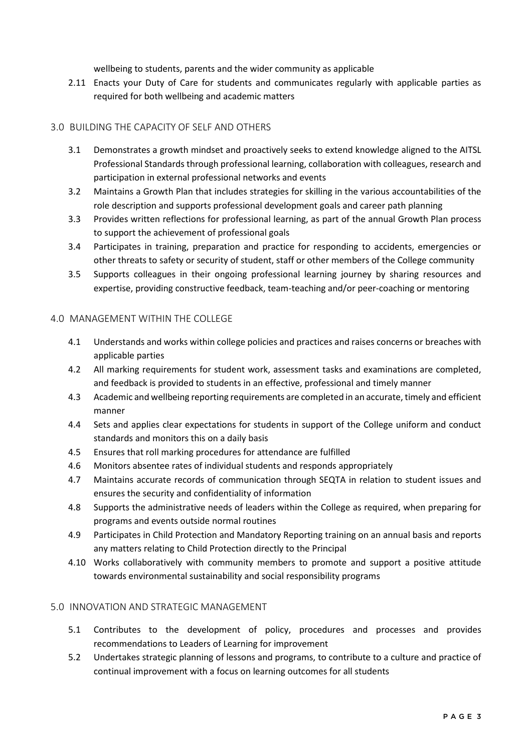wellbeing to students, parents and the wider community as applicable

2.11 Enacts your Duty of Care for students and communicates regularly with applicable parties as required for both wellbeing and academic matters

## 3.0 BUILDING THE CAPACITY OF SELF AND OTHERS

- 3.1 Demonstrates a growth mindset and proactively seeks to extend knowledge aligned to the AITSL Professional Standards through professional learning, collaboration with colleagues, research and participation in external professional networks and events
- 3.2 Maintains a Growth Plan that includes strategies for skilling in the various accountabilities of the role description and supports professional development goals and career path planning
- 3.3 Provides written reflections for professional learning, as part of the annual Growth Plan process to support the achievement of professional goals
- 3.4 Participates in training, preparation and practice for responding to accidents, emergencies or other threats to safety or security of student, staff or other members of the College community
- 3.5 Supports colleagues in their ongoing professional learning journey by sharing resources and expertise, providing constructive feedback, team-teaching and/or peer-coaching or mentoring

## 4.0 MANAGEMENT WITHIN THE COLLEGE

- 4.1 Understands and works within college policies and practices and raises concerns or breaches with applicable parties
- 4.2 All marking requirements for student work, assessment tasks and examinations are completed, and feedback is provided to students in an effective, professional and timely manner
- 4.3 Academic and wellbeing reporting requirements are completed in an accurate, timely and efficient manner
- 4.4 Sets and applies clear expectations for students in support of the College uniform and conduct standards and monitors this on a daily basis
- 4.5 Ensures that roll marking procedures for attendance are fulfilled
- 4.6 Monitors absentee rates of individual students and responds appropriately
- 4.7 Maintains accurate records of communication through SEQTA in relation to student issues and ensures the security and confidentiality of information
- 4.8 Supports the administrative needs of leaders within the College as required, when preparing for programs and events outside normal routines
- 4.9 Participates in Child Protection and Mandatory Reporting training on an annual basis and reports any matters relating to Child Protection directly to the Principal
- 4.10 Works collaboratively with community members to promote and support a positive attitude towards environmental sustainability and social responsibility programs

### 5.0 INNOVATION AND STRATEGIC MANAGEMENT

- 5.1 Contributes to the development of policy, procedures and processes and provides recommendations to Leaders of Learning for improvement
- 5.2 Undertakes strategic planning of lessons and programs, to contribute to a culture and practice of continual improvement with a focus on learning outcomes for all students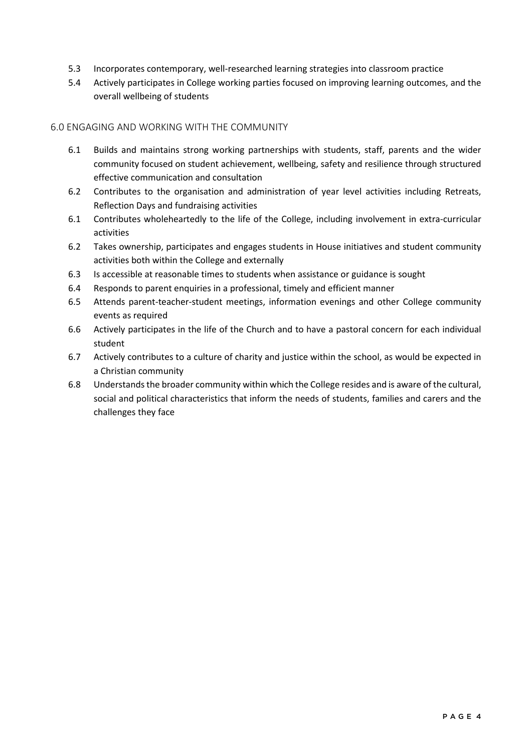- 5.3 Incorporates contemporary, well-researched learning strategies into classroom practice
- 5.4 Actively participates in College working parties focused on improving learning outcomes, and the overall wellbeing of students

## 6.0 ENGAGING AND WORKING WITH THE COMMUNITY

- 6.1 Builds and maintains strong working partnerships with students, staff, parents and the wider community focused on student achievement, wellbeing, safety and resilience through structured effective communication and consultation
- 6.2 Contributes to the organisation and administration of year level activities including Retreats, Reflection Days and fundraising activities
- 6.1 Contributes wholeheartedly to the life of the College, including involvement in extra-curricular activities
- 6.2 Takes ownership, participates and engages students in House initiatives and student community activities both within the College and externally
- 6.3 Is accessible at reasonable times to students when assistance or guidance is sought
- 6.4 Responds to parent enquiries in a professional, timely and efficient manner
- 6.5 Attends parent-teacher-student meetings, information evenings and other College community events as required
- 6.6 Actively participates in the life of the Church and to have a pastoral concern for each individual student
- 6.7 Actively contributes to a culture of charity and justice within the school, as would be expected in a Christian community
- 6.8 Understands the broader community within which the College resides and is aware of the cultural, social and political characteristics that inform the needs of students, families and carers and the challenges they face